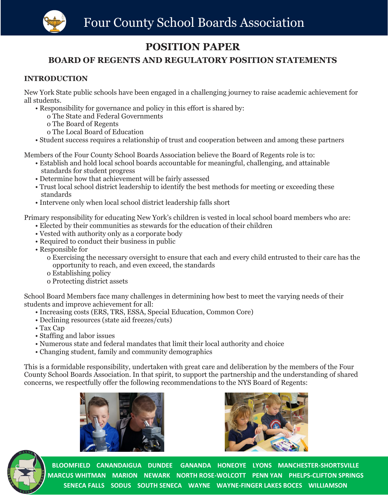# **POSITION PAPER**

### **BOARD OF REGENTS AND REGULATORY POSITION STATEMENTS**

#### **INTRODUCTION**

New York State public schools have been engaged in a challenging journey to raise academic achievement for all students.

- Responsibility for governance and policy in this effort is shared by:
	- o The State and Federal Governments
	- o The Board of Regents
	- o The Local Board of Education
- Student success requires a relationship of trust and cooperation between and among these partners

Members of the Four County School Boards Association believe the Board of Regents role is to:

- Establish and hold local school boards accountable for meaningful, challenging, and attainable standards for student progress
- Determine how that achievement will be fairly assessed
- Trust local school district leadership to identify the best methods for meeting or exceeding these standards
- Intervene only when local school district leadership falls short

Primary responsibility for educating New York's children is vested in local school board members who are:

- Elected by their communities as stewards for the education of their children
- Vested with authority only as a corporate body
- Required to conduct their business in public
- Responsible for

o Exercising the necessary oversight to ensure that each and every child entrusted to their care has the opportunity to reach, and even exceed, the standards

- o Establishing policy
- o Protecting district assets

School Board Members face many challenges in determining how best to meet the varying needs of their students and improve achievement for all:

- Increasing costs (ERS, TRS, ESSA, Special Education, Common Core)
- Declining resources (state aid freezes/cuts)
- Tax Cap
- Staffing and labor issues
- Numerous state and federal mandates that limit their local authority and choice
- Changing student, family and community demographics

This is a formidable responsibility, undertaken with great care and deliberation by the members of the Four County School Boards Association. In that spirit, to support the partnership and the understanding of shared concerns, we respectfully offer the following recommendations to the NYS Board of Regents:





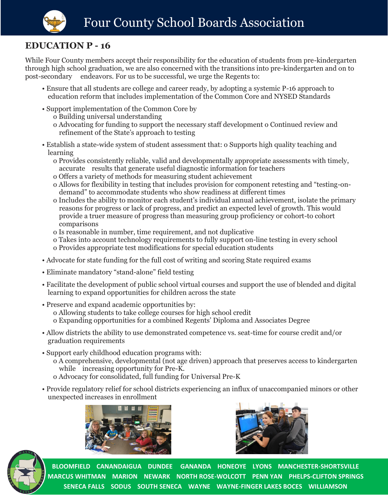

## **EDUCATION P - 16**

While Four County members accept their responsibility for the education of students from pre-kindergarten through high school graduation, we are also concerned with the transitions into pre-kindergarten and on to post-secondary endeavors. For us to be successful, we urge the Regents to:

- Ensure that all students are college and career ready, by adopting a systemic P-16 approach to education reform that includes implementation of the Common Core and NYSED Standards
- Support implementation of the Common Core by
	- o Building universal understanding
	- o Advocating for funding to support the necessary staff development o Continued review and refinement of the State's approach to testing
- Establish a state-wide system of student assessment that: o Supports high quality teaching and learning
	- o Provides consistently reliable, valid and developmentally appropriate assessments with timely, accurate results that generate useful diagnostic information for teachers
	- o Offers a variety of methods for measuring student achievement
	- o Allows for flexibility in testing that includes provision for component retesting and "testing-ondemand" to accommodate students who show readiness at different times
	- o Includes the ability to monitor each student's individual annual achievement, isolate the primary reasons for progress or lack of progress, and predict an expected level of growth. This would provide a truer measure of progress than measuring group proficiency or cohort-to cohort comparisons
	- o Is reasonable in number, time requirement, and not duplicative
	- o Takes into account technology requirements to fully support on-line testing in every school
	- o Provides appropriate test modifications for special education students
- Advocate for state funding for the full cost of writing and scoring State required exams
- Eliminate mandatory "stand-alone" field testing
- Facilitate the development of public school virtual courses and support the use of blended and digital learning to expand opportunities for children across the state
- Preserve and expand academic opportunities by: o Allowing students to take college courses for high school credit o Expanding opportunities for a combined Regents' Diploma and Associates Degree
- Allow districts the ability to use demonstrated competence vs. seat-time for course credit and/or graduation requirements
- Support early childhood education programs with:
	- o A comprehensive, developmental (not age driven) approach that preserves access to kindergarten while increasing opportunity for Pre-K.
	- o Advocacy for consolidated, full funding for Universal Pre-K
- Provide regulatory relief for school districts experiencing an influx of unaccompanied minors or other unexpected increases in enrollment





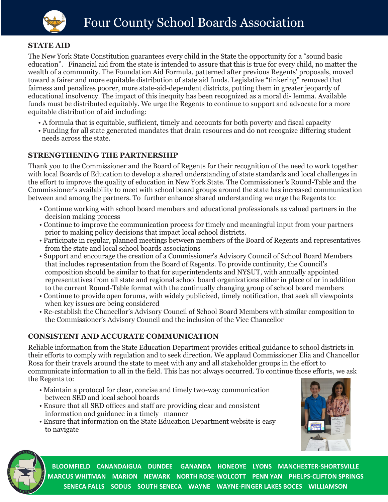

#### **STATE AID**

The New York State Constitution guarantees every child in the State the opportunity for a "sound basic education". Financial aid from the state is intended to assure that this is true for every child, no matter the wealth of a community. The Foundation Aid Formula, patterned after previous Regents' proposals, moved toward a fairer and more equitable distribution of state aid funds. Legislative "tinkering" removed that fairness and penalizes poorer, more state-aid-dependent districts, putting them in greater jeopardy of educational insolvency. The impact of this inequity has been recognized as a moral di- lemma. Available funds must be distributed equitably. We urge the Regents to continue to support and advocate for a more equitable distribution of aid including:

- A formula that is equitable, sufficient, timely and accounts for both poverty and fiscal capacity
- Funding for all state generated mandates that drain resources and do not recognize differing student needs across the state.

#### **STRENGTHENING THE PARTNERSHIP**

Thank you to the Commissioner and the Board of Regents for their recognition of the need to work together with local Boards of Education to develop a shared understanding of state standards and local challenges in the effort to improve the quality of education in New York State. The Commissioner's Round-Table and the Commissioner's availability to meet with school board groups around the state has increased communication between and among the partners. To further enhance shared understanding we urge the Regents to:

- Continue working with school board members and educational professionals as valued partners in the decision making process
- Continue to improve the communication process for timely and meaningful input from your partners prior to making policy decisions that impact local school districts.
- Participate in regular, planned meetings between members of the Board of Regents and representatives from the state and local school boards associations
- Support and encourage the creation of a Commissioner's Advisory Council of School Board Members that includes representation from the Board of Regents. To provide continuity, the Council's composition should be similar to that for superintendents and NYSUT, with annually appointed representatives from all state and regional school board organizations either in place of or in addition to the current Round-Table format with the continually changing group of school board members
- Continue to provide open forums, with widely publicized, timely notification, that seek all viewpoints when key issues are being considered
- Re-establish the Chancellor's Advisory Council of School Board Members with similar composition to the Commissioner's Advisory Council and the inclusion of the Vice Chancellor

#### **CONSISTENT AND ACCURATE COMMUNICATION**

Reliable information from the State Education Department provides critical guidance to school districts in their efforts to comply with regulation and to seek direction. We applaud Commissioner Elia and Chancellor Rosa for their travels around the state to meet with any and all stakeholder groups in the effort to communicate information to all in the field. This has not always occurred. To continue those efforts, we ask the Regents to:

- Maintain a protocol for clear, concise and timely two-way communication between SED and local school boards
- Ensure that all SED offices and staff are providing clear and consistent information and guidance in a timely manner
- Ensure that information on the State Education Department website is easy to navigate